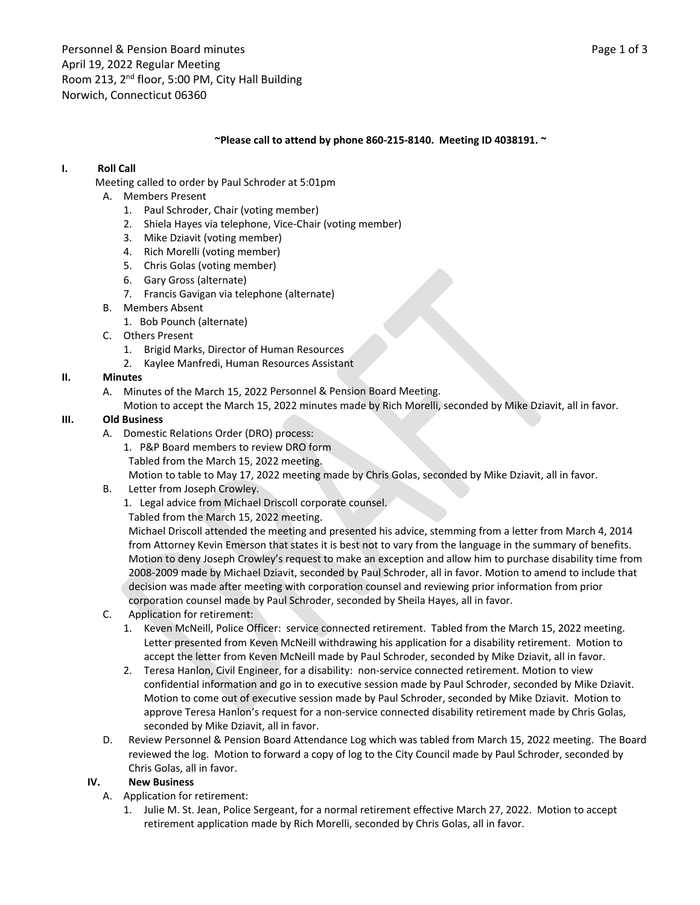#### **~Please call to attend by phone 860‐215‐8140. Meeting ID 4038191. ~**

## **I. Roll Call**

Meeting called to order by Paul Schroder at 5:01pm

- A. Members Present
	- 1. Paul Schroder, Chair (voting member)
	- 2. Shiela Hayes via telephone, Vice‐Chair (voting member)
	- 3. Mike Dziavit (voting member)
	- 4. Rich Morelli (voting member)
	- 5. Chris Golas (voting member)
	- 6. Gary Gross (alternate)
	- 7. Francis Gavigan via telephone (alternate)
- B. Members Absent
	- 1. Bob Pounch (alternate)
- C. Others Present
	- 1. Brigid Marks, Director of Human Resources
	- 2. Kaylee Manfredi, Human Resources Assistant

#### **II. Minutes**

- A. Minutes of the March 15, 2022 Personnel & Pension Board Meeting.
	- Motion to accept the March 15, 2022 minutes made by Rich Morelli, seconded by Mike Dziavit, all in favor.

#### **III. Old Business**

- A. Domestic Relations Order (DRO) process:
	- 1. P&P Board members to review DRO form
	- Tabled from the March 15, 2022 meeting.
	- Motion to table to May 17, 2022 meeting made by Chris Golas, seconded by Mike Dziavit, all in favor.
- B. Letter from Joseph Crowley.
	- 1. Legal advice from Michael Driscoll corporate counsel.
	- Tabled from the March 15, 2022 meeting.

Michael Driscoll attended the meeting and presented his advice, stemming from a letter from March 4, 2014 from Attorney Kevin Emerson that states it is best not to vary from the language in the summary of benefits. Motion to deny Joseph Crowley's request to make an exception and allow him to purchase disability time from 2008‐2009 made by Michael Dziavit, seconded by Paul Schroder, all in favor. Motion to amend to include that decision was made after meeting with corporation counsel and reviewing prior information from prior corporation counsel made by Paul Schroder, seconded by Sheila Hayes, all in favor.

- C. Application for retirement:
	- 1. Keven McNeill, Police Officer: service connected retirement. Tabled from the March 15, 2022 meeting. Letter presented from Keven McNeill withdrawing his application for a disability retirement. Motion to accept the letter from Keven McNeill made by Paul Schroder, seconded by Mike Dziavit, all in favor.
	- 2. Teresa Hanlon, Civil Engineer, for a disability: non‐service connected retirement. Motion to view confidential information and go in to executive session made by Paul Schroder, seconded by Mike Dziavit. Motion to come out of executive session made by Paul Schroder, seconded by Mike Dziavit. Motion to approve Teresa Hanlon's request for a non-service connected disability retirement made by Chris Golas, seconded by Mike Dziavit, all in favor.
- D. Review Personnel & Pension Board Attendance Log which was tabled from March 15, 2022 meeting. The Board reviewed the log. Motion to forward a copy of log to the City Council made by Paul Schroder, seconded by Chris Golas, all in favor.

#### **IV. New Business**

- A. Application for retirement:
	- 1. Julie M. St. Jean, Police Sergeant, for a normal retirement effective March 27, 2022. Motion to accept retirement application made by Rich Morelli, seconded by Chris Golas, all in favor.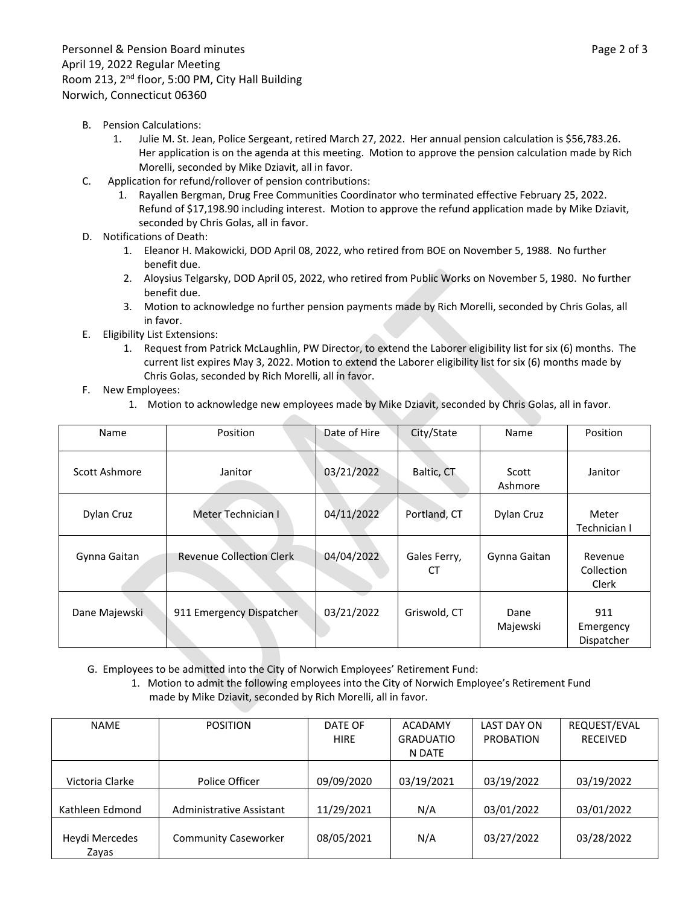- B. Pension Calculations:
	- 1. Julie M. St. Jean, Police Sergeant, retired March 27, 2022. Her annual pension calculation is \$56,783.26. Her application is on the agenda at this meeting. Motion to approve the pension calculation made by Rich Morelli, seconded by Mike Dziavit, all in favor.
- C. Application for refund/rollover of pension contributions:
	- 1. Rayallen Bergman, Drug Free Communities Coordinator who terminated effective February 25, 2022. Refund of \$17,198.90 including interest. Motion to approve the refund application made by Mike Dziavit, seconded by Chris Golas, all in favor.
- D. Notifications of Death:
	- 1. Eleanor H. Makowicki, DOD April 08, 2022, who retired from BOE on November 5, 1988. No further benefit due.
	- 2. Aloysius Telgarsky, DOD April 05, 2022, who retired from Public Works on November 5, 1980. No further benefit due.
	- 3. Motion to acknowledge no further pension payments made by Rich Morelli, seconded by Chris Golas, all in favor.
- E. Eligibility List Extensions:
	- 1. Request from Patrick McLaughlin, PW Director, to extend the Laborer eligibility list for six (6) months. The current list expires May 3, 2022. Motion to extend the Laborer eligibility list for six (6) months made by Chris Golas, seconded by Rich Morelli, all in favor.
- F. New Employees:
	- 1. Motion to acknowledge new employees made by Mike Dziavit, seconded by Chris Golas, all in favor.

| Name          | Position                        | Date of Hire | City/State         | Name             | Position                       |
|---------------|---------------------------------|--------------|--------------------|------------------|--------------------------------|
| Scott Ashmore | Janitor                         | 03/21/2022   | Baltic, CT         | Scott<br>Ashmore | Janitor                        |
| Dylan Cruz    | Meter Technician I              | 04/11/2022   | Portland, CT       | Dylan Cruz       | Meter<br>Technician I          |
| Gynna Gaitan  | <b>Revenue Collection Clerk</b> | 04/04/2022   | Gales Ferry,<br>СT | Gynna Gaitan     | Revenue<br>Collection<br>Clerk |
| Dane Majewski | 911 Emergency Dispatcher        | 03/21/2022   | Griswold, CT       | Dane<br>Majewski | 911<br>Emergency<br>Dispatcher |

- G. Employees to be admitted into the City of Norwich Employees' Retirement Fund:
	- 1. Motion to admit the following employees into the City of Norwich Employee's Retirement Fund made by Mike Dziavit, seconded by Rich Morelli, all in favor.

| <b>NAME</b>     | <b>POSITION</b>             | DATE OF     | <b>ACADAMY</b>   | LAST DAY ON      | REQUEST/EVAL    |
|-----------------|-----------------------------|-------------|------------------|------------------|-----------------|
|                 |                             | <b>HIRE</b> | <b>GRADUATIO</b> | <b>PROBATION</b> | <b>RECEIVED</b> |
|                 |                             |             | N DATE           |                  |                 |
|                 |                             |             |                  |                  |                 |
| Victoria Clarke | Police Officer              | 09/09/2020  | 03/19/2021       | 03/19/2022       | 03/19/2022      |
|                 |                             |             |                  |                  |                 |
| Kathleen Edmond | Administrative Assistant    | 11/29/2021  | N/A              | 03/01/2022       | 03/01/2022      |
|                 |                             |             |                  |                  |                 |
| Heydi Mercedes  | <b>Community Caseworker</b> | 08/05/2021  | N/A              | 03/27/2022       | 03/28/2022      |
| Zayas           |                             |             |                  |                  |                 |